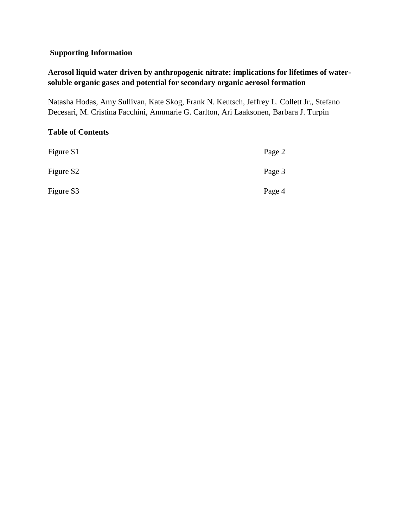## **Supporting Information**

## **Aerosol liquid water driven by anthropogenic nitrate: implications for lifetimes of watersoluble organic gases and potential for secondary organic aerosol formation**

Natasha Hodas, Amy Sullivan, Kate Skog, Frank N. Keutsch, Jeffrey L. Collett Jr., Stefano Decesari, M. Cristina Facchini, Annmarie G. Carlton, Ari Laaksonen, Barbara J. Turpin

## **Table of Contents**

| Figure S1             | Page 2 |
|-----------------------|--------|
| Figure S <sub>2</sub> | Page 3 |
| Figure S3             | Page 4 |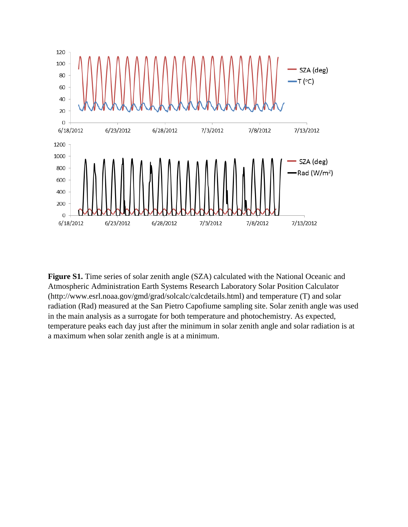

**Figure S1.** Time series of solar zenith angle (SZA) calculated with the National Oceanic and Atmospheric Administration Earth Systems Research Laboratory Solar Position Calculator (http://www.esrl.noaa.gov/gmd/grad/solcalc/calcdetails.html) and temperature (T) and solar radiation (Rad) measured at the San Pietro Capofiume sampling site. Solar zenith angle was used in the main analysis as a surrogate for both temperature and photochemistry. As expected, temperature peaks each day just after the minimum in solar zenith angle and solar radiation is at a maximum when solar zenith angle is at a minimum.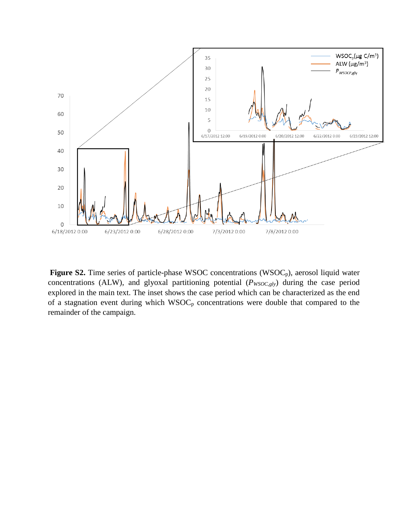

Figure S2. Time series of particle-phase WSOC concentrations (WSOC<sub>p</sub>), aerosol liquid water concentrations (ALW), and glyoxal partitioning potential ( $P_{WSOC, g/y}$ ) during the case period explored in the main text. The inset shows the case period which can be characterized as the end of a stagnation event during which WSOC<sub>p</sub> concentrations were double that compared to the remainder of the campaign.